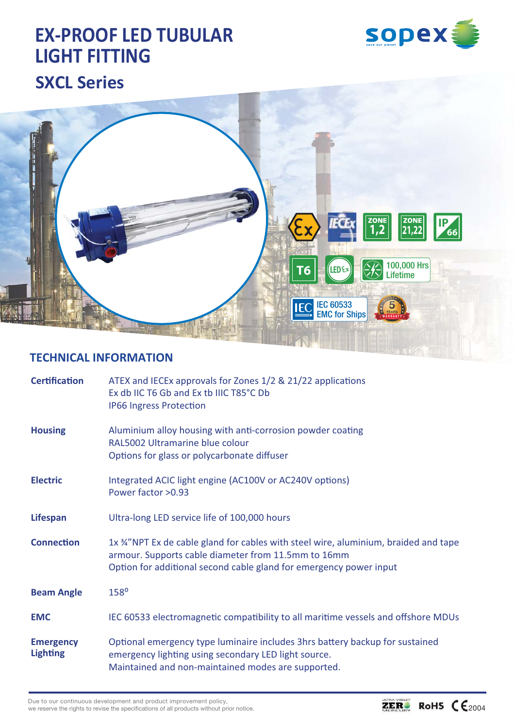





#### **TECHNICAL INFORMATION**

| <b>Certification</b>                | ATEX and IECEx approvals for Zones 1/2 & 21/22 applications<br>Ex db IIC T6 Gb and Ex tb IIIC T85°C Db<br><b>IP66 Ingress Protection</b>                                                                          |
|-------------------------------------|-------------------------------------------------------------------------------------------------------------------------------------------------------------------------------------------------------------------|
| <b>Housing</b>                      | Aluminium alloy housing with anti-corrosion powder coating<br>RAL5002 Ultramarine blue colour<br>Options for glass or polycarbonate diffuser                                                                      |
| <b>Electric</b>                     | Integrated ACIC light engine (AC100V or AC240V options)<br>Power factor > 0.93                                                                                                                                    |
| <b>Lifespan</b>                     | Ultra-long LED service life of 100,000 hours                                                                                                                                                                      |
| <b>Connection</b>                   | $1x$ %"NPT Ex de cable gland for cables with steel wire, aluminium, braided and tape<br>armour. Supports cable diameter from 11.5mm to 16mm<br>Option for additional second cable gland for emergency power input |
| <b>Beam Angle</b>                   | 158 <sup>°</sup>                                                                                                                                                                                                  |
| <b>EMC</b>                          | IEC 60533 electromagnetic compatibility to all maritime vessels and offshore MDUs                                                                                                                                 |
| <b>Emergency</b><br><b>Lighting</b> | Optional emergency type luminaire includes 3hrs battery backup for sustained<br>emergency lighting using secondary LED light source.<br>Maintained and non-maintained modes are supported.                        |

Due to our continuous development and product improvement policy, we reserve the rights to revise the specifications of all products without prior notice.